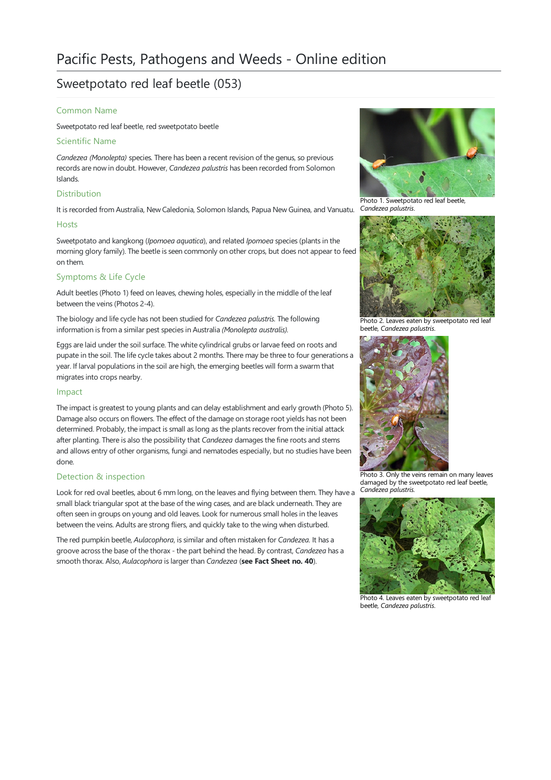# Sweetpotato red leaf beetle (053)

## Common Name

Sweetpotato red leaf beetle, red sweetpotato beetle

### Scientific Name

*Candezea (Monolepta)* species*.*There has been arecent revision of the genus, so previous records are now in doubt. However, *Candezea palustris* has been recorded from Solomon Islands.

## **Distribution**

It is recorded from Australia, New Caledonia, Solomon Islands, Papua New Guinea, and Vanuatu.

#### Hosts

Sweetpotato and kangkong (*Ipomoea aquatica*), and related *Ipomoea* species (plants in the morning glory family). The beetle is seen commonly on other crops, but does not appear to feed on them.

# Symptoms & Life Cycle

Adult beetles (Photo 1) feed on leaves, chewing holes, especially in the middle of the leaf between the veins (Photos 2-4).

The biology and life cycle has not been studied for *Candezea palustris*. The following information is from a similar pest species in Australia (Monolepta australis).

Eggs are laid under the soil surface. The white cylindrical grubs or larvae feed on roots and pupate in the soil. The life cycle takes about 2 months. There may be three to four generations a year. If larval populations in the soil are high, the emerging beetles will form a swarm that migrates into crops nearby.

### Impact

The impact is greatest to young plants and can delay establishment and early growth (Photo 5). Damage also occurs on flowers. The effect of the damage on storage root yields has not been determined. Probably, the impact is small as long as the plants recover from the initial attack after planting. There is also the possibility that *Candezea* damages the fine roots and stems and allows entry of other organisms, fungi and nematodes especially, but no studies have been done.

## Detection & inspection

Look for red oval beetles, about 6 mm long, on the leaves and flying between them. They have a Candezea palustris. small black triangular spot at the base of the wing cases, and are black underneath. They are often seen in groups on young and old leaves. Look for numerous small holes in the leaves between the veins. Adults are strong fliers, and quickly take to the wing when disturbed.

The red pumpkin beetle, *Aulacophora*, is similar and often mistaken for *Candezea*. It has a groove across the base of the thorax - the part behind the head. By contrast, *Candezea* has a smooth thorax. Also, *Aulacophora* islarger than *Candezea* (**see Fact Sheet no. 40**).



Photo 1.Sweetpotato red leaf beetle, *Candezea palustris*.



Photo 2. Leaves eaten by sweetpotato red leaf beetle, *Candezea palustris*.



Photo 3. Only the veins remain on many leaves damaged by the sweetpotato red leaf beetle,



Photo 4. Leaves eaten by sweetpotato red leaf beetle, *Candezea palustris*.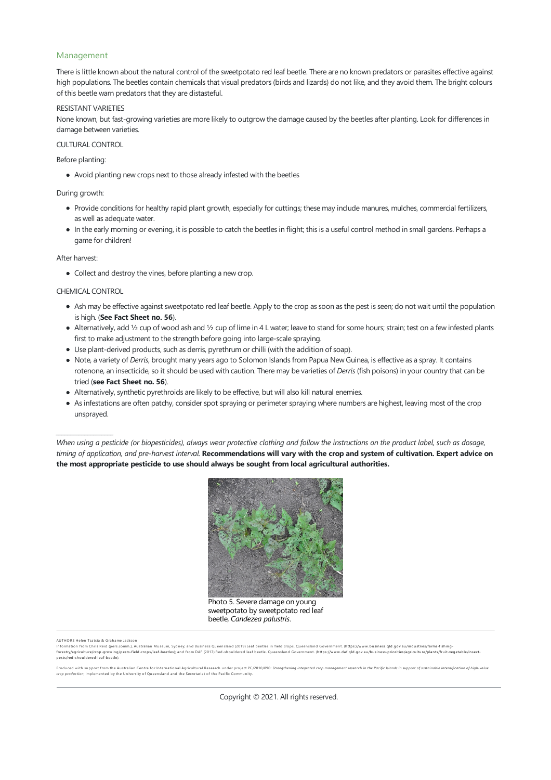## Management

There is little known about the natural control of the sweetpotato red leaf beetle. There are no known predators or parasites effective against high populations. The beetles contain chemicals that visual predators (birds and lizards) do not like, and they avoid them. The bright colours of this beetle warn predators that they are distasteful.

#### RESISTANT VARIETIES

None known, but fast-growing varieties are more likely to outgrow the damage caused by the beetles after planting. Look for differences in damage between varieties.

#### CULTURAL CONTROL

Before planting:

• Avoid planting new crops next to those already infested with the beetles

During growth:

- Provide conditions for healthy rapid plant growth, especially for cuttings; these may include manures, mulches, commercial fertilizers, as well as adequate water.
- In the early morning or evening, it is possible to catch the beetles in flight; this is a useful control method in small gardens. Perhaps a game for children!

After harvest:

• Collect and destroy the vines, before planting a new crop.

CHEMICAL CONTROL

*\_\_\_\_\_\_\_\_\_\_\_\_\_\_\_\_\_\_\_\_*

- Ash may be effective against sweetpotato red leaf beetle. Apply to the crop as soon as the pest is seen; do not wait until the population is high. (**See Fact Sheet no. 56**).
- Alternatively, add 1/2 cup of wood ash and 1/2 cup of lime in 4 L water; leave to stand for some hours; strain; test on a few infested plants first to make adjustment to the strength before going into large-scale spraying.
- Use plant-derived products, such as derris, pyrethrum or chilli (with the addition of soap).
- Note, a variety of *Derris*, brought many years ago to Solomon Islands from Papua New Guinea, is effective as a spray. It contains rotenone, an insecticide, so it should be used with caution. There may be varieties of *Derris* (fish poisons) in your country that can be tried (**see Fact Sheet no. 56**).
- Alternatively, synthetic pyrethroids are likely to be effective, but will also kill natural enemies.
- Asinfestationsare often patchy,consider spot spraying or perimeter spraying where numbersare highest, leaving most of thecrop unsprayed.

When using a pesticide (or biopesticides), always wear protective clothing and follow the instructions on the product label, such as dosage, timing of application, and pre-harvest interval. Recommendations will vary with the crop and system of cultivation. Expert advice on **the most appropriate pesticide to use should always be sought from local agricultural authorities.**



Photo 5. Severe damage on young sweetpotato by sweetpotato red leaf beetle, *Candezea palustris*.

AUTHORS Helen Tsatsia & Grah ame Jackson

information from Chris Reid (pers.comm.). Australian Museum, Sydney; and Business Queensland (2019) Leaf beetles in field crops. Queensland Government. (https://www.business.qld.gov.au/industries/fams-fishing-<br>forestry/agr

Produced with support from the Australian Centre for International Agricultural Research under project PC/2010/090: Strengthening integrated crop management research in the Pacific Islands in support of sustainable intensi